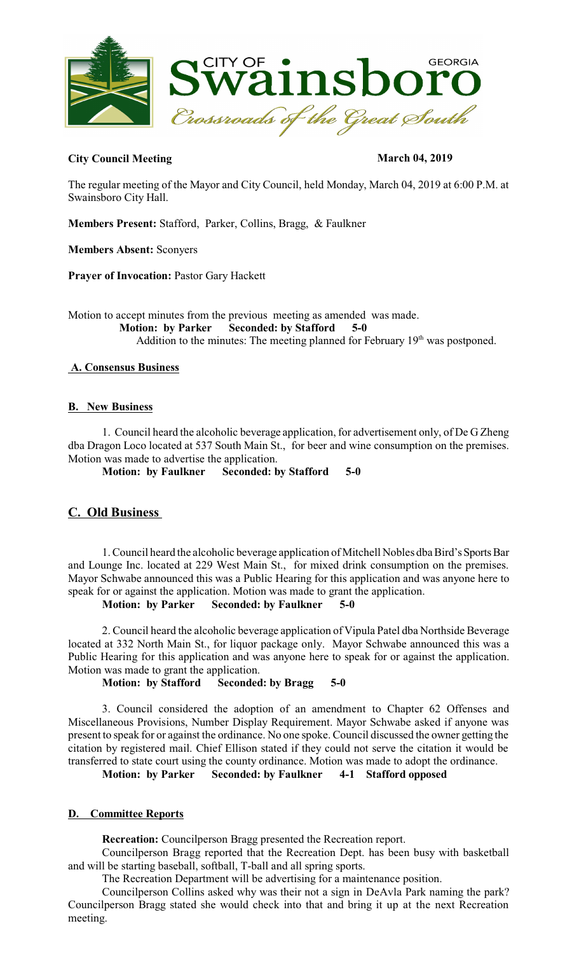

# **City Council Meeting March 04, 2019**

The regular meeting of the Mayor and City Council, held Monday, March 04, 2019 at 6:00 P.M. at Swainsboro City Hall.

**Members Present:** Stafford, Parker, Collins, Bragg, & Faulkner

**Members Absent:** Sconyers

**Prayer of Invocation:** Pastor Gary Hackett

Motion to accept minutes from the previous meeting as amended was made.  **Motion: by Parker Seconded: by Stafford 5-0**  Addition to the minutes: The meeting planned for February  $19<sup>th</sup>$  was postponed.

# **A. Consensus Business**

# **B. New Business**

1. Council heard the alcoholic beverage application, for advertisement only, of De G Zheng dba Dragon Loco located at 537 South Main St., for beer and wine consumption on the premises. Motion was made to advertise the application.

**Motion: by Faulkner Seconded: by Stafford 5-0** 

# **C. Old Business**

1. Council heard the alcoholic beverage application of Mitchell Nobles dba Bird's Sports Bar and Lounge Inc. located at 229 West Main St., for mixed drink consumption on the premises. Mayor Schwabe announced this was a Public Hearing for this application and was anyone here to speak for or against the application. Motion was made to grant the application.

## **Motion: by Parker Seconded: by Faulkner 5-0**

2. Council heard the alcoholic beverage application of Vipula Patel dba Northside Beverage located at 332 North Main St., for liquor package only. Mayor Schwabe announced this was a Public Hearing for this application and was anyone here to speak for or against the application. Motion was made to grant the application.

**Motion: by Stafford Seconded: by Bragg 5-0** 

3. Council considered the adoption of an amendment to Chapter 62 Offenses and Miscellaneous Provisions, Number Display Requirement. Mayor Schwabe asked if anyone was present to speak for or against the ordinance. No one spoke. Council discussed the owner getting the citation by registered mail. Chief Ellison stated if they could not serve the citation it would be transferred to state court using the county ordinance. Motion was made to adopt the ordinance.

**Motion: by Parker Seconded: by Faulkner 4-1 Stafford opposed**

# **D. Committee Reports**

**Recreation:** Councilperson Bragg presented the Recreation report.

Councilperson Bragg reported that the Recreation Dept. has been busy with basketball and will be starting baseball, softball, T-ball and all spring sports.

The Recreation Department will be advertising for a maintenance position.

Councilperson Collins asked why was their not a sign in DeAvla Park naming the park? Councilperson Bragg stated she would check into that and bring it up at the next Recreation meeting.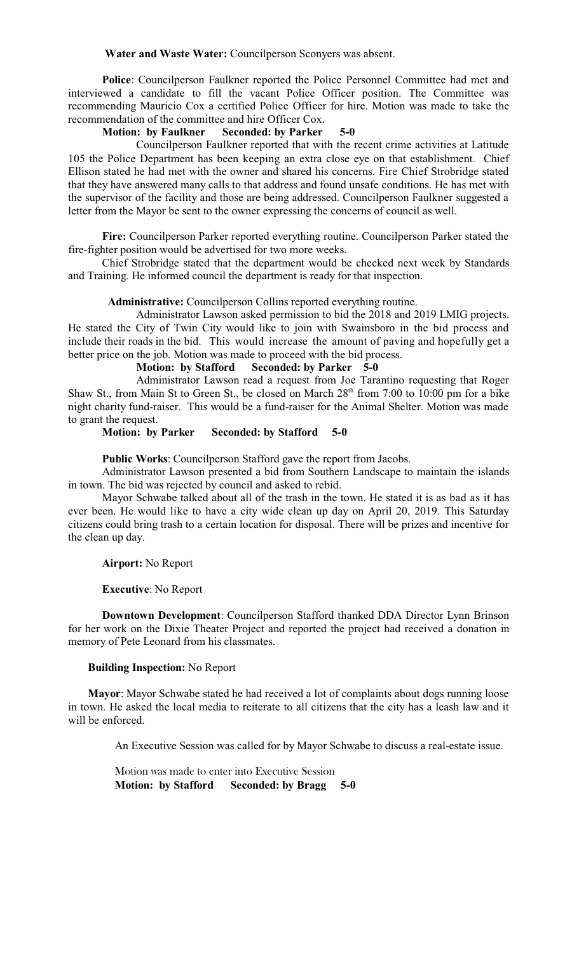#### **Water and Waste Water:** Councilperson Sconyers was absent.

**Police**: Councilperson Faulkner reported the Police Personnel Committee had met and interviewed a candidate to fill the vacant Police Officer position. The Committee was recommending Mauricio Cox a certified Police Officer for hire. Motion was made to take the recommendation of the committee and hire Officer Cox.

#### **Motion: by Faulkner Seconded: by Parker 5-0**

Councilperson Faulkner reported that with the recent crime activities at Latitude 105 the Police Department has been keeping an extra close eye on that establishment. Chief Ellison stated he had met with the owner and shared his concerns. Fire Chief Strobridge stated that they have answered many calls to that address and found unsafe conditions. He has met with the supervisor of the facility and those are being addressed. Councilperson Faulkner suggested a letter from the Mayor be sent to the owner expressing the concerns of council as well.

**Fire:** Councilperson Parker reported everything routine. Councilperson Parker stated the fire-fighter position would be advertised for two more weeks.

Chief Strobridge stated that the department would be checked next week by Standards and Training. He informed council the department is ready for that inspection.

### **Administrative:** Councilperson Collins reported everything routine.

Administrator Lawson asked permission to bid the 2018 and 2019 LMIG projects. He stated the City of Twin City would like to join with Swainsboro in the bid process and include their roads in the bid. This would increase the amount of paving and hopefully get a better price on the job. Motion was made to proceed with the bid process.

### **Motion: by Stafford Seconded: by Parker 5-0**

Administrator Lawson read a request from Joe Tarantino requesting that Roger Shaw St., from Main St to Green St., be closed on March 28<sup>th</sup> from 7:00 to 10:00 pm for a bike night charity fund-raiser. This would be a fund-raiser for the Animal Shelter. Motion was made to grant the request.

#### **Motion: by Parker Seconded: by Stafford 5-0**

**Public Works**: Councilperson Stafford gave the report from Jacobs.

Administrator Lawson presented a bid from Southern Landscape to maintain the islands in town. The bid was rejected by council and asked to rebid.

Mayor Schwabe talked about all of the trash in the town. He stated it is as bad as it has ever been. He would like to have a city wide clean up day on April 20, 2019. This Saturday citizens could bring trash to a certain location for disposal. There will be prizes and incentive for the clean up day.

#### **Airport:** No Report

#### **Executive**: No Report

**Downtown Development**: Councilperson Stafford thanked DDA Director Lynn Brinson for her work on the Dixie Theater Project and reported the project had received a donation in memory of Pete Leonard from his classmates.

#### **Building Inspection:** No Report

 **Mayor**: Mayor Schwabe stated he had received a lot of complaints about dogs running loose in town. He asked the local media to reiterate to all citizens that the city has a leash law and it will be enforced.

An Executive Session was called for by Mayor Schwabe to discuss a real-estate issue.

Motion was made to enter into Executive Session **Motion: by Stafford Seconded: by Bragg 5-0**